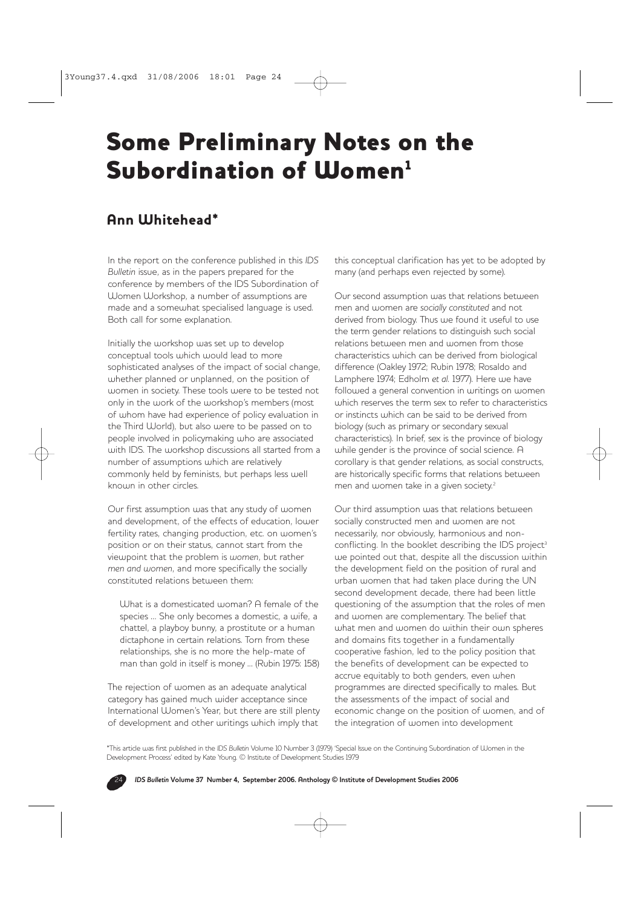# Some Preliminary Notes on the Subordination of Women<sup>1</sup>

## Ann Whitehead\*

In the report on the conference published in this *IDS Bulletin* issue, as in the papers prepared for the conference by members of the IDS Subordination of Women Workshop, a number of assumptions are made and a somewhat specialised language is used. Both call for some explanation.

Initially the workshop was set up to develop conceptual tools which would lead to more sophisticated analyses of the impact of social change, whether planned or unplanned, on the position of women in society. These tools were to be tested not only in the work of the workshop's members (most of whom have had experience of policy evaluation in the Third World), but also were to be passed on to people involved in policymaking who are associated with IDS. The workshop discussions all started from a number of assumptions which are relatively commonly held by feminists, but perhaps less well known in other circles.

Our first assumption was that any study of women and development, of the effects of education, lower fertility rates, changing production, etc. on women's position or on their status, cannot start from the viewpoint that the problem is *women*, but rather *men and women*, and more specifically the socially constituted relations between them:

What is a domesticated woman? A female of the species ... She only becomes a domestic, a wife, a chattel, a playboy bunny, a prostitute or a human dictaphone in certain relations. Torn from these relationships, she is no more the help-mate of man than gold in itself is money ... (Rubin 1975: 158)

The rejection of women as an adequate analytical category has gained much wider acceptance since International Women's Year, but there are still plenty of development and other writings which imply that

this conceptual clarification has yet to be adopted by many (and perhaps even rejected by some).

Our second assumption was that relations between men and women are *socially constituted* and not derived from biology. Thus we found it useful to use the term gender relations to distinguish such social relations between men and women from those characteristics which can be derived from biological difference (Oakley 1972; Rubin 1978; Rosaldo and Lamphere 1974; Edholm *et al*. 1977). Here we have followed a general convention in writings on women which reserves the term sex to refer to characteristics or instincts which can be said to be derived from biology (such as primary or secondary sexual characteristics). In brief, sex is the province of biology while gender is the province of social science. A corollary is that gender relations, as social constructs, are historically specific forms that relations between men and women take in a given society.<sup>2</sup>

Our third assumption was that relations between socially constructed men and women are not necessarily, nor obviously, harmonious and nonconflicting. In the booklet describing the IDS project<sup>3</sup> we pointed out that, despite all the discussion within the development field on the position of rural and urban women that had taken place during the UN second development decade, there had been little questioning of the assumption that the roles of men and women are complementary. The belief that what men and women do within their own spheres and domains fits together in a fundamentally cooperative fashion, led to the policy position that the benefits of development can be expected to accrue equitably to both genders, even when programmes are directed specifically to males. But the assessments of the impact of social and economic change on the position of women, and of the integration of women into development



<sup>\*</sup>This article was first published in the *IDS Bulletin* Volume 10 Number 3 (1979) 'Special Issue on the Continuing Subordination of Women in the Development Process' edited by Kate Young. © Institute of Development Studies 1979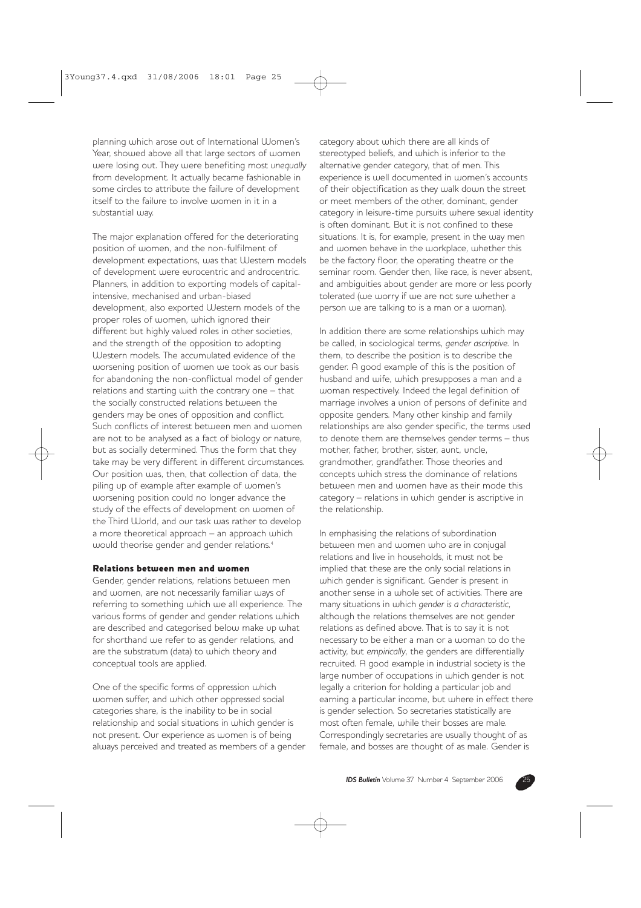planning which arose out of International Women's Year, showed above all that large sectors of women were losing out. They were benefiting most *unequally* from development. It actually became fashionable in some circles to attribute the failure of development itself to the failure to involve women in it in a substantial way.

The major explanation offered for the deteriorating position of women, and the non-fulfilment of development expectations, was that Western models of development were eurocentric and androcentric. Planners, in addition to exporting models of capitalintensive, mechanised and urban-biased development, also exported Western models of the proper roles of women, which ignored their different but highly valued roles in other societies, and the strength of the opposition to adopting Western models. The accumulated evidence of the worsening position of women we took as our basis for abandoning the non-conflictual model of gender relations and starting with the contrary one – that the socially constructed relations between the genders may be ones of opposition and conflict. Such conflicts of interest between men and women are not to be analysed as a fact of biology or nature, but as socially determined. Thus the form that they take may be very different in different circumstances. Our position was, then, that collection of data, the piling up of example after example of women's worsening position could no longer advance the study of the effects of development on women of the Third World, and our task was rather to develop a more theoretical approach – an approach which would theorise gender and gender relations.<sup>4</sup>

#### Relations between men and women

Gender, gender relations, relations between men and women, are not necessarily familiar ways of referring to something which we all experience. The various forms of gender and gender relations which are described and categorised below make up what for shorthand we refer to as gender relations, and are the substratum (data) to which theory and conceptual tools are applied.

One of the specific forms of oppression which women suffer, and which other oppressed social categories share, is the inability to be in social relationship and social situations in which gender is not present. Our experience as women is of being always perceived and treated as members of a gender category about which there are all kinds of stereotyped beliefs, and which is inferior to the alternative gender category, that of men. This experience is well documented in women's accounts of their objectification as they walk down the street or meet members of the other, dominant, gender category in leisure-time pursuits where sexual identity is often dominant. But it is not confined to these situations. It is, for example, present in the way men and women behave in the workplace, whether this be the factory floor, the operating theatre or the seminar room. Gender then, like race, is never absent, and ambiguities about gender are more or less poorly tolerated (we worry if we are not sure whether a person we are talking to is a man or a woman).

In addition there are some relationships which may be called, in sociological terms, *gender ascriptive*. In them, to describe the position is to describe the gender. A good example of this is the position of husband and wife, which presupposes a man and a woman respectively. Indeed the legal definition of marriage involves a union of persons of definite and opposite genders. Many other kinship and family relationships are also gender specific, the terms used to denote them are themselves gender terms – thus mother, father, brother, sister, aunt, uncle, grandmother, grandfather. Those theories and concepts which stress the dominance of relations between men and women have as their mode this category – relations in which gender is ascriptive in the relationship.

In emphasising the relations of subordination between men and women who are in conjugal relations and live in households, it must not be implied that these are the only social relations in which gender is significant. Gender is present in another sense in a whole set of activities. There are many situations in which *gender is a characteristic*, although the relations themselves are not gender relations as defined above. That is to say it is not necessary to be either a man or a woman to do the activity, but *empirically*, the genders are differentially recruited. A good example in industrial society is the large number of occupations in which gender is not legally a criterion for holding a particular job and earning a particular income, but where in effect there is gender selection. So secretaries statistically are most often female, while their bosses are male. Correspondingly secretaries are usually thought of as female, and bosses are thought of as male. Gender is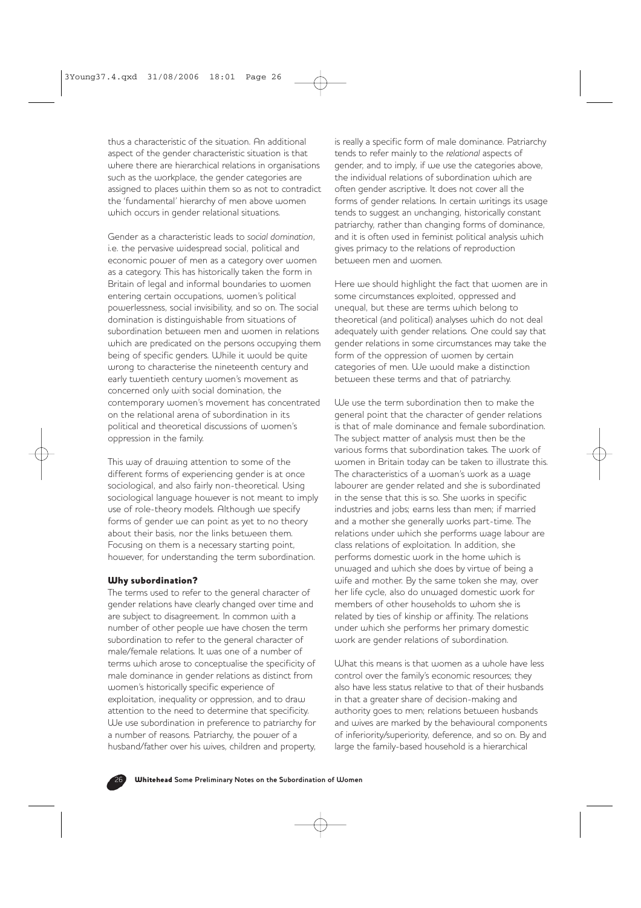thus a characteristic of the situation. An additional aspect of the gender characteristic situation is that where there are hierarchical relations in organisations such as the workplace, the gender categories are assigned to places within them so as not to contradict the 'fundamental' hierarchy of men above women which occurs in gender relational situations.

Gender as a characteristic leads to *social domination*, i.e. the pervasive widespread social, political and economic power of men as a category over women as a category. This has historically taken the form in Britain of legal and informal boundaries to women entering certain occupations, women's political powerlessness, social invisibility, and so on. The social domination is distinguishable from situations of subordination between men and women in relations which are predicated on the persons occupying them being of specific genders. While it would be quite wrong to characterise the nineteenth century and early twentieth century women's movement as concerned only with social domination, the contemporary women's movement has concentrated on the relational arena of subordination in its political and theoretical discussions of women's oppression in the family.

This way of drawing attention to some of the different forms of experiencing gender is at once sociological, and also fairly non-theoretical. Using sociological language however is not meant to imply use of role-theory models. Although we specify forms of gender we can point as yet to no theory about their basis, nor the links between them. Focusing on them is a necessary starting point, however, for understanding the term subordination.

#### Why subordination?

The terms used to refer to the general character of gender relations have clearly changed over time and are subject to disagreement. In common with a number of other people we have chosen the term subordination to refer to the general character of male/female relations. It was one of a number of terms which arose to conceptualise the specificity of male dominance in gender relations as distinct from women's historically specific experience of exploitation, inequality or oppression, and to draw attention to the need to determine that specificity. We use subordination in preference to patriarchy for a number of reasons. Patriarchy, the power of a husband/father over his wives, children and property, is really a specific form of male dominance. Patriarchy tends to refer mainly to the *relational* aspects of gender, and to imply, if we use the categories above, the individual relations of subordination which are often gender ascriptive. It does not cover all the forms of gender relations. In certain writings its usage tends to suggest an unchanging, historically constant patriarchy, rather than changing forms of dominance, and it is often used in feminist political analysis which gives primacy to the relations of reproduction between men and women.

Here we should highlight the fact that women are in some circumstances exploited, oppressed and unequal, but these are terms which belong to theoretical (and political) analyses which do not deal adequately with gender relations. One could say that gender relations in some circumstances may take the form of the oppression of women by certain categories of men. We would make a distinction between these terms and that of patriarchy.

We use the term subordination then to make the general point that the character of gender relations is that of male dominance and female subordination. The subject matter of analysis must then be the various forms that subordination takes. The work of women in Britain today can be taken to illustrate this. The characteristics of a woman's work as a wage labourer are gender related and she is subordinated in the sense that this is so. She works in specific industries and jobs; earns less than men; if married and a mother she generally works part-time. The relations under which she performs wage labour are class relations of exploitation. In addition, she performs domestic work in the home which is unwaged and which she does by virtue of being a wife and mother. By the same token she may, over her life cycle, also do unwaged domestic work for members of other households to whom she is related by ties of kinship or affinity. The relations under which she performs her primary domestic work are gender relations of subordination.

What this means is that women as a whole have less control over the family's economic resources; they also have less status relative to that of their husbands in that a greater share of decision-making and authority goes to men; relations between husbands and wives are marked by the behavioural components of inferiority/superiority, deference, and so on. By and large the family-based household is a hierarchical